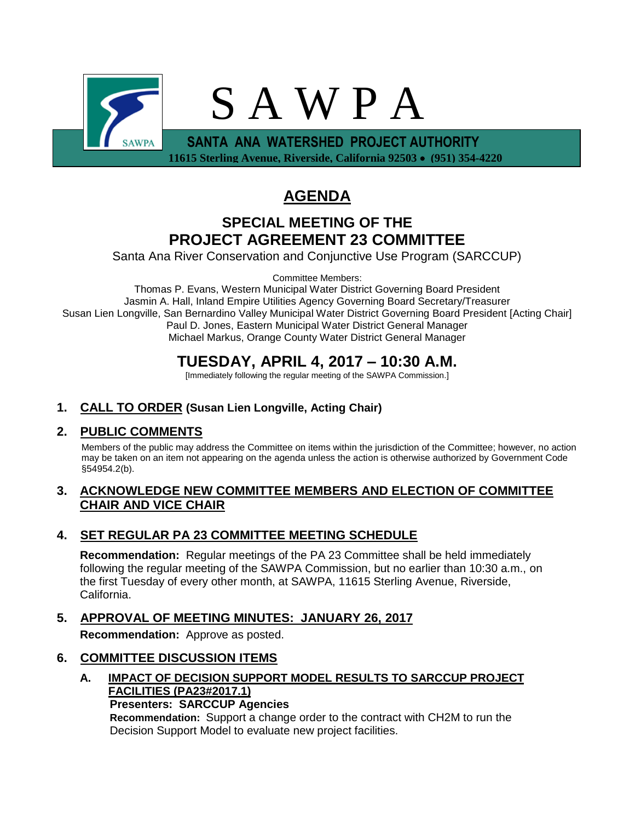

# **AGENDA**

## **SPECIAL MEETING OF THE PROJECT AGREEMENT 23 COMMITTEE**

Santa Ana River Conservation and Conjunctive Use Program (SARCCUP)

Committee Members:

Thomas P. Evans, Western Municipal Water District Governing Board President Jasmin A. Hall, Inland Empire Utilities Agency Governing Board Secretary/Treasurer Susan Lien Longville, San Bernardino Valley Municipal Water District Governing Board President [Acting Chair] Paul D. Jones, Eastern Municipal Water District General Manager Michael Markus, Orange County Water District General Manager

## **TUESDAY, APRIL 4, 2017 – 10:30 A.M.**

[Immediately following the regular meeting of the SAWPA Commission.]

## **1. CALL TO ORDER (Susan Lien Longville, Acting Chair)**

## **2. PUBLIC COMMENTS**

Members of the public may address the Committee on items within the jurisdiction of the Committee; however, no action may be taken on an item not appearing on the agenda unless the action is otherwise authorized by Government Code §54954.2(b).

## **3. ACKNOWLEDGE NEW COMMITTEE MEMBERS AND ELECTION OF COMMITTEE CHAIR AND VICE CHAIR**

## **4. SET REGULAR PA 23 COMMITTEE MEETING SCHEDULE**

**Recommendation:** Regular meetings of the PA 23 Committee shall be held immediately following the regular meeting of the SAWPA Commission, but no earlier than 10:30 a.m., on the first Tuesday of every other month, at SAWPA, 11615 Sterling Avenue, Riverside, California.

**5. APPROVAL OF MEETING MINUTES: JANUARY 26, 2017 Recommendation:** Approve as posted.

## **6. COMMITTEE DISCUSSION ITEMS**

**A. IMPACT OF DECISION SUPPORT MODEL RESULTS TO SARCCUP PROJECT FACILITIES (PA23#2017.1)**

**Presenters: SARCCUP Agencies**

**Recommendation:** Support a change order to the contract with CH2M to run the Decision Support Model to evaluate new project facilities.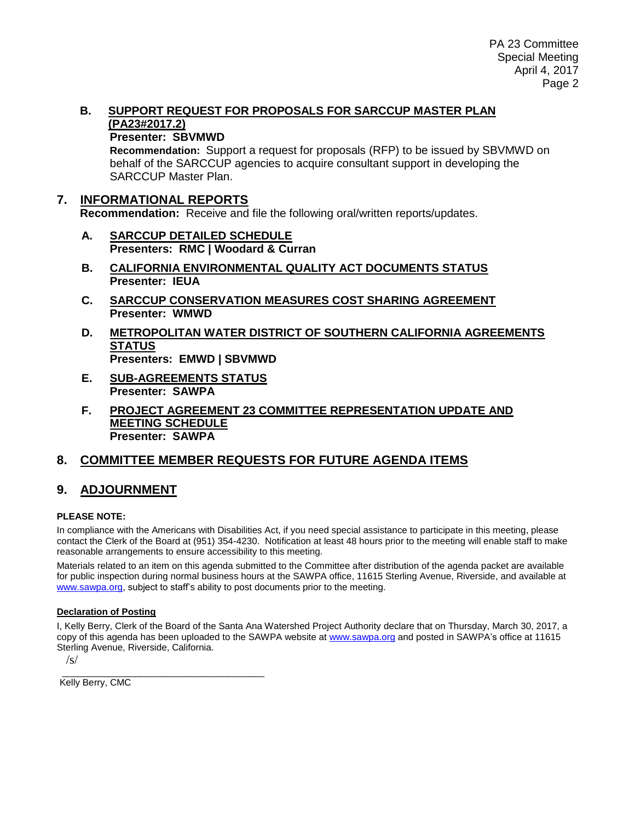#### **B. SUPPORT REQUEST FOR PROPOSALS FOR SARCCUP MASTER PLAN (PA23#2017.2)**

#### **Presenter: SBVMWD**

**Recommendation:** Support a request for proposals (RFP) to be issued by SBVMWD on behalf of the SARCCUP agencies to acquire consultant support in developing the SARCCUP Master Plan.

## **7. INFORMATIONAL REPORTS**

**Recommendation:** Receive and file the following oral/written reports/updates.

- **A. SARCCUP DETAILED SCHEDULE Presenters: RMC | Woodard & Curran**
- **B. CALIFORNIA ENVIRONMENTAL QUALITY ACT DOCUMENTS STATUS Presenter: IEUA**
- **C. SARCCUP CONSERVATION MEASURES COST SHARING AGREEMENT Presenter: WMWD**
- **D. METROPOLITAN WATER DISTRICT OF SOUTHERN CALIFORNIA AGREEMENTS STATUS Presenters: EMWD | SBVMWD**
- **E. SUB-AGREEMENTS STATUS Presenter: SAWPA**
- **F. PROJECT AGREEMENT 23 COMMITTEE REPRESENTATION UPDATE AND MEETING SCHEDULE Presenter: SAWPA**

## **8. COMMITTEE MEMBER REQUESTS FOR FUTURE AGENDA ITEMS**

## **9. ADJOURNMENT**

#### **PLEASE NOTE:**

In compliance with the Americans with Disabilities Act, if you need special assistance to participate in this meeting, please contact the Clerk of the Board at (951) 354-4230. Notification at least 48 hours prior to the meeting will enable staff to make reasonable arrangements to ensure accessibility to this meeting.

Materials related to an item on this agenda submitted to the Committee after distribution of the agenda packet are available for public inspection during normal business hours at the SAWPA office, 11615 Sterling Avenue, Riverside, and available at [www.sawpa.org,](http://www.sawpa.org/) subject to staff's ability to post documents prior to the meeting.

#### **Declaration of Posting**

I, Kelly Berry, Clerk of the Board of the Santa Ana Watershed Project Authority declare that on Thursday, March 30, 2017, a copy of this agenda has been uploaded to the SAWPA website a[t www.sawpa.org](http://www.sawpa.org/) and posted in SAWPA's office at 11615 Sterling Avenue, Riverside, California.

 $\sqrt{s}$ 

\_\_\_\_\_\_\_\_\_\_\_\_\_\_\_\_\_\_\_\_\_\_\_\_\_\_\_\_\_\_\_\_\_\_\_\_\_\_\_ Kelly Berry, CMC